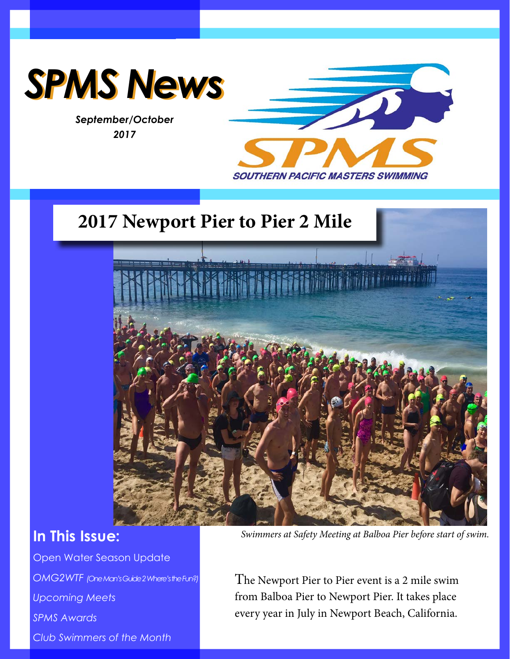

*September/October 2017*



## **2017 Newport Pier to Pier 2 Mile**



## **In This Issue:**

Open Water Season Update *OMG2WTF (One Man's Guide 2 Where's the Fun?) Upcoming Meets SPMS Awards Club Swimmers of the Month*

*Swimmers at Safety Meeting at Balboa Pier before start of swim.* 

The Newport Pier to Pier event is a 2 mile swim from Balboa Pier to Newport Pier. It takes place every year in July in Newport Beach, California.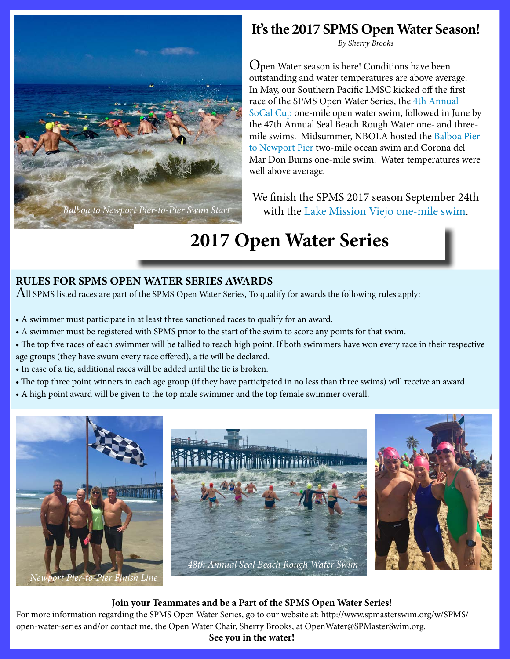

## **It's the 2017 SPMS Open Water Season!**

*By Sherry Brooks*

Open Water season is here! Conditions have been outstanding and water temperatures are above average. In May, our Southern Pacific LMSC kicked off the first race of the SPMS Open Water Series, the [4th Annual](http://www.h2openplus.com/2017-socal-cup.html)  [SoCal Cup](http://www.h2openplus.com/2017-socal-cup.html) one-mile open water swim, followed in June by the 47th Annual Seal Beach Rough Water one- and threemile swims. Midsummer, NBOLA hosted the [Balboa Pier](http://www.newportoceanswims.com/)  [to Newport Pier](http://www.newportoceanswims.com/) two-mile ocean swim and Corona del Mar Don Burns one-mile swim. Water temperatures were well above average.

We finish the SPMS 2017 season September 24th *Balboa to Newport Pier-to-Pier Swim Start* with the [Lake Mission Viejo one-mile swim](https://www.clubassistant.com/club/meet_information.cfm?c=964&smid=9348).

# **2017 Open Water Series**

### **RULES FOR SPMS OPEN WATER SERIES AWARDS**

All SPMS listed races are part of the SPMS Open Water Series, To qualify for awards the following rules apply:

- A swimmer must participate in at least three sanctioned races to qualify for an award.
- A swimmer must be registered with SPMS prior to the start of the swim to score any points for that swim.
- The top five races of each swimmer will be tallied to reach high point. If both swimmers have won every race in their respective
- age groups (they have swum every race offered), a tie will be declared.
- In case of a tie, additional races will be added until the tie is broken.
- The top three point winners in each age group (if they have participated in no less than three swims) will receive an award.
- A high point award will be given to the top male swimmer and the top female swimmer overall.



#### **Join your Teammates and be a Part of the SPMS Open Water Series!**

For more information regarding the SPMS Open Water Series, go to our website at: http://www.spmasterswim.org/w/SPMS/ open-water-series and/or contact me, the Open Water Chair, Sherry Brooks, at OpenWater@SPMasterSwim.org.

#### **See you in the water!**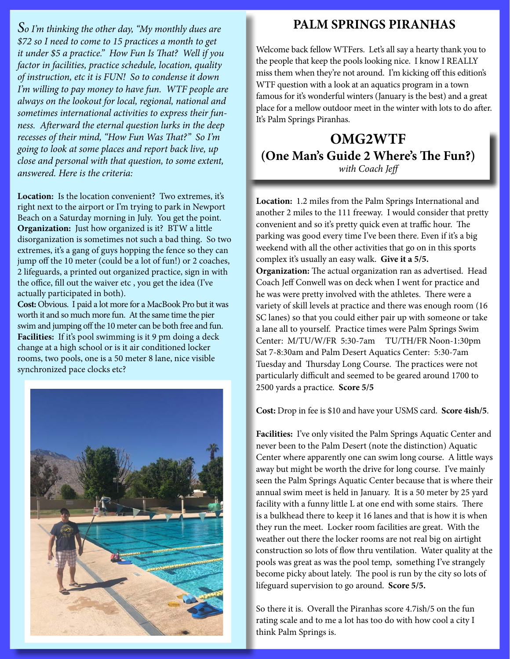*So I'm thinking the other day, "My monthly dues are \$72 so I need to come to 15 practices a month to get it under \$5 a practice." How Fun Is That? Well if you factor in facilities, practice schedule, location, quality of instruction, etc it is FUN! So to condense it down I'm willing to pay money to have fun. WTF people are always on the lookout for local, regional, national and sometimes international activities to express their funness. Afterward the eternal question lurks in the deep recesses of their mind, "How Fun Was That?" So I'm going to look at some places and report back live, up close and personal with that question, to some extent, answered. Here is the criteria:*

**Location:** Is the location convenient? Two extremes, it's right next to the airport or I'm trying to park in Newport Beach on a Saturday morning in July. You get the point. **Organization:** Just how organized is it? BTW a little disorganization is sometimes not such a bad thing. So two extremes, it's a gang of guys hopping the fence so they can jump off the 10 meter (could be a lot of fun!) or 2 coaches, 2 lifeguards, a printed out organized practice, sign in with the office, fill out the waiver etc , you get the idea (I've actually participated in both).

**Cost:** Obvious. I paid a lot more for a MacBook Pro but it was worth it and so much more fun. At the same time the pier swim and jumping off the 10 meter can be both free and fun. Facilities: If it's pool swimming is it 9 pm doing a deck change at a high school or is it air conditioned locker rooms, two pools, one is a 50 meter 8 lane, nice visible synchronized pace clocks etc?



### **PALM SPRINGS PIRANHAS**

Welcome back fellow WTFers. Let's all say a hearty thank you to the people that keep the pools looking nice. I know I REALLY miss them when they're not around. I'm kicking off this edition's WTF question with a look at an aquatics program in a town famous for it's wonderful winters (January is the best) and a great place for a mellow outdoor meet in the winter with lots to do after. It's Palm Springs Piranhas.

### **OMG2WTF (One Man's Guide 2 Where's The Fun?)**  *with Coach Jeff*

**Location:** 1.2 miles from the Palm Springs International and another 2 miles to the 111 freeway. I would consider that pretty convenient and so it's pretty quick even at traffic hour. The parking was good every time I've been there. Even if it's a big weekend with all the other activities that go on in this sports complex it's usually an easy walk. **Give it a 5/5. Organization:** The actual organization ran as advertised. Head Coach Jeff Conwell was on deck when I went for practice and he was were pretty involved with the athletes. There were a variety of skill levels at practice and there was enough room (16 SC lanes) so that you could either pair up with someone or take a lane all to yourself. Practice times were Palm Springs Swim Center: M/TU/W/FR 5:30-7am TU/TH/FR Noon-1:30pm Sat 7-8:30am and Palm Desert Aquatics Center: 5:30-7am Tuesday and Thursday Long Course. The practices were not particularly difficult and seemed to be geared around 1700 to 2500 yards a practice. **Score 5/5**

**Cost:** Drop in fee is \$10 and have your USMS card. **Score 4ish/5**.

**Facilities:** I've only visited the Palm Springs Aquatic Center and never been to the Palm Desert (note the distinction) Aquatic Center where apparently one can swim long course. A little ways away but might be worth the drive for long course. I've mainly seen the Palm Springs Aquatic Center because that is where their annual swim meet is held in January. It is a 50 meter by 25 yard facility with a funny little L at one end with some stairs. There is a bulkhead there to keep it 16 lanes and that is how it is when they run the meet. Locker room facilities are great. With the weather out there the locker rooms are not real big on airtight construction so lots of flow thru ventilation. Water quality at the pools was great as was the pool temp, something I've strangely become picky about lately. The pool is run by the city so lots of lifeguard supervision to go around. **Score 5/5.**

So there it is. Overall the Piranhas score 4.7ish/5 on the fun rating scale and to me a lot has too do with how cool a city I think Palm Springs is.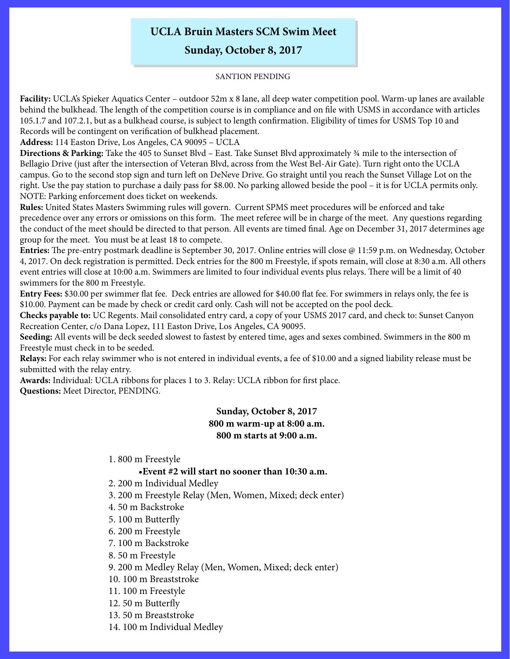### **UCLA Bruin Masters SCM Swim Meet**

**Sunday, October 8, 2017**

#### SANTION PENDING

**Facility:** UCLA's Spieker Aquatics Center – outdoor 52m x 8 lane, all deep water competition pool. Warm-up lanes are available behind the bulkhead. The length of the competition course is in compliance and on file with USMS in accordance with articles 105.1.7 and 107.2.1, but as a bulkhead course, is subject to length confirmation. Eligibility of times for USMS Top 10 and Records will be contingent on verification of bulkhead placement.

**Address:** 114 Easton Drive, Los Angeles, CA 90095 – UCLA

**Directions & Parking:** Take the 405 to Sunset Blvd – East. Take Sunset Blvd approximately ¾ mile to the intersection of Bellagio Drive (just after the intersection of Veteran Blvd, across from the West Bel-Air Gate). Turn right onto the UCLA campus. Go to the second stop sign and turn left on DeNeve Drive. Go straight until you reach the Sunset Village Lot on the right. Use the pay station to purchase a daily pass for \$8.00. No parking allowed beside the pool – it is for UCLA permits only. NOTE: Parking enforcement does ticket on weekends.

**Rules:** United States Masters Swimming rules will govern. Current SPMS meet procedures will be enforced and take precedence over any errors or omissions on this form. The meet referee will be in charge of the meet. Any questions regarding the conduct of the meet should be directed to that person. All events are timed final. Age on December 31, 2017 determines age group for the meet. You must be at least 18 to compete.

**Entries:** The pre-entry postmark deadline is September 30, 2017. Online entries will close @ 11:59 p.m. on Wednesday, October 4, 2017. On deck registration is permitted. Deck entries for the 800 m Freestyle, if spots remain, will close at 8:30 a.m. All others event entries will close at 10:00 a.m. Swimmers are limited to four individual events plus relays. There will be a limit of 40 swimmers for the 800 m Freestyle.

**Entry Fees:** \$30.00 per swimmer flat fee. Deck entries are allowed for \$40.00 flat fee. For swimmers in relays only, the fee is \$10.00. Payment can be made by check or credit card only. Cash will not be accepted on the pool deck.

**Checks payable to:** UC Regents. Mail consolidated entry card, a copy of your USMS 2017 card, and check to: Sunset Canyon Recreation Center, c/o Dana Lopez, 111 Easton Drive, Los Angeles, CA 90095.

**Seeding:** All events will be deck seeded slowest to fastest by entered time, ages and sexes combined. Swimmers in the 800 m Freestyle must check in to be seeded.

**Relays:** For each relay swimmer who is not entered in individual events, a fee of \$10.00 and a signed liability release must be submitted with the relay entry.

**Awards:** Individual: UCLA ribbons for places 1 to 3. Relay: UCLA ribbon for first place. **Questions:** Meet Director, PENDING.

#### **Sunday, October 8, 2017 800 m warm-up at 8:00 a.m. 800 m starts at 9:00 a.m.**

1. 800 m Freestyle

#### **•Event #2 will start no sooner than 10:30 a.m.**

- 2. 200 m Individual Medley
- 3. 200 m Freestyle Relay (Men, Women, Mixed; deck enter)
- 4. 50 m Backstroke
- 5. 100 m Butterfly
- 6. 200 m Freestyle
- 7. 100 m Backstroke
- 8. 50 m Freestyle
- 9. 200 m Medley Relay (Men, Women, Mixed; deck enter)
- 10. 100 m Breaststroke
- 11. 100 m Freestyle
- 12. 50 m Butterfly
- 13. 50 m Breaststroke
- 14. 100 m Individual Medley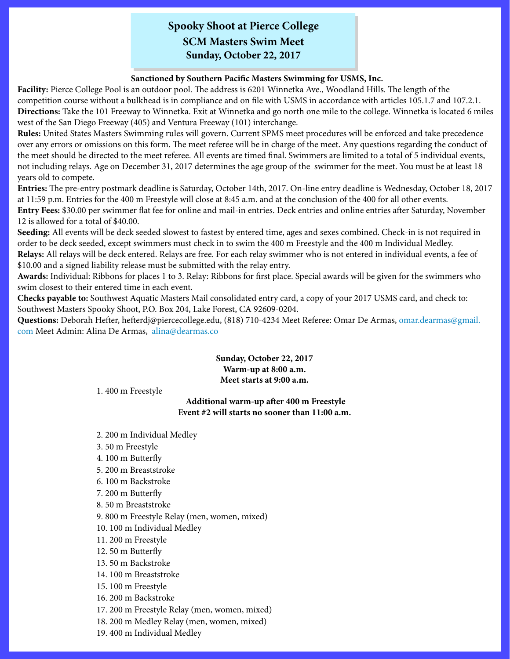### **Spooky Shoot at Pierce College SCM Masters Swim Meet Sunday, October 22, 2017**

#### **Sanctioned by Southern Pacific Masters Swimming for USMS, Inc.**

**Facility:** Pierce College Pool is an outdoor pool. The address is 6201 Winnetka Ave., Woodland Hills. The length of the competition course without a bulkhead is in compliance and on file with USMS in accordance with articles 105.1.7 and 107.2.1. **Directions:** Take the 101 Freeway to Winnetka. Exit at Winnetka and go north one mile to the college. Winnetka is located 6 miles west of the San Diego Freeway (405) and Ventura Freeway (101) interchange.

**Rules:** United States Masters Swimming rules will govern. Current SPMS meet procedures will be enforced and take precedence over any errors or omissions on this form. The meet referee will be in charge of the meet. Any questions regarding the conduct of the meet should be directed to the meet referee. All events are timed final. Swimmers are limited to a total of 5 individual events, not including relays. Age on December 31, 2017 determines the age group of the swimmer for the meet. You must be at least 18 years old to compete.

**Entries:** The pre-entry postmark deadline is Saturday, October 14th, 2017. On-line entry deadline is Wednesday, October 18, 2017 at 11:59 p.m. Entries for the 400 m Freestyle will close at 8:45 a.m. and at the conclusion of the 400 for all other events.

**Entry Fees:** \$30.00 per swimmer flat fee for online and mail-in entries. Deck entries and online entries after Saturday, November 12 is allowed for a total of \$40.00.

**Seeding:** All events will be deck seeded slowest to fastest by entered time, ages and sexes combined. Check-in is not required in order to be deck seeded, except swimmers must check in to swim the 400 m Freestyle and the 400 m Individual Medley.

**Relays:** All relays will be deck entered. Relays are free. For each relay swimmer who is not entered in individual events, a fee of \$10.00 and a signed liability release must be submitted with the relay entry.

**Awards:** Individual: Ribbons for places 1 to 3. Relay: Ribbons for first place. Special awards will be given for the swimmers who swim closest to their entered time in each event.

**Checks payable to:** Southwest Aquatic Masters Mail consolidated entry card, a copy of your 2017 USMS card, and check to: Southwest Masters Spooky Shoot, P.O. Box 204, Lake Forest, CA 92609-0204.

**Questions:** Deborah Hefter, hefterdj@piercecollege.edu, (818) 710-4234 Meet Referee: Omar De Armas, [omar.dearmas@gmail.](mailto:omar.dearmas%40gmail.com?subject=) [com](mailto:omar.dearmas%40gmail.com?subject=) Meet Admin: Alina De Armas, [alina@dearmas.co](mailto:alina%40dearmas.co?subject=)

> **Sunday, October 22, 2017 Warm-up at 8:00 a.m. Meet starts at 9:00 a.m.**

1. 400 m Freestyle

#### **Additional warm-up after 400 m Freestyle Event #2 will starts no sooner than 11:00 a.m.**

2. 200 m Individual Medley

- 3. 50 m Freestyle
- 4. 100 m Butterfly
- 5. 200 m Breaststroke
- 6. 100 m Backstroke
- 7. 200 m Butterfly
- 8. 50 m Breaststroke
- 9. 800 m Freestyle Relay (men, women, mixed)
- 10. 100 m Individual Medley
- 11. 200 m Freestyle
- 12. 50 m Butterfly
- 13. 50 m Backstroke
- 14. 100 m Breaststroke
- 15. 100 m Freestyle
- 16. 200 m Backstroke
- 17. 200 m Freestyle Relay (men, women, mixed)
- 18. 200 m Medley Relay (men, women, mixed)
- 19. 400 m Individual Medley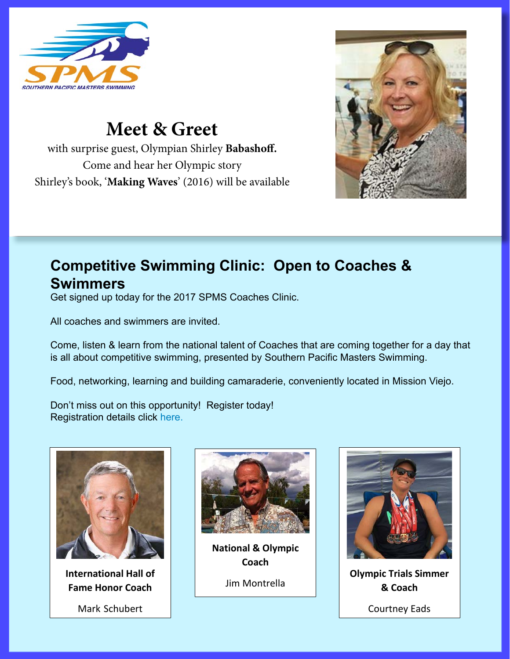

with surprise guest, Olympian **Shirley Babashoff**. Shirley's book, 'Making Waves' (2016) will be available for sale.

**& Swimmers**

**International Hall of Fame Honor Coach** Mark Schubert

All coaches and swimmers are invited.

Don't miss out on this opportunity! Register today!

## **Meet & Greet**  $\blacksquare$

with surprise guest, Olympian Shirley Babashoff. Come and hear her Olympic story Shirley's book, '**Making Waves**' (2016) will be available  $S_{\text{max}}$  (2016) will be available for sale.



#### **Competitive Swimming Clinic: Open to Coaches &** Get signed up to the 2017 SPMS Constructed up to 2017 SPMS Coaches Constructed U **Swimmers** All components are invited by the state of the state of the state of the state of the state of the state of the state of the state of the state of the state of the state of the state of the state of the state of the state

Get signed up today for the 2017 SPMS Coaches Clinic. Come, listen & learn from the national talent of Coaches that are coming

 $\blacksquare$  . All coaches and swimmers are invited. That are day that are competitive swimming, presented by a day that is all about competitive swimming, presented by all about competitive swimming, presented by a day that is

together for a day that is all about competitive swimming, presented by a day that is all about competitive sw  $\overline{\phantom{a}}$  Come, listen & learn from the national talent of Coaches that are coming together for a day that Food, networking, learning and building camaraderie, conveniently located in is all about competitive swimming, presented by Southern Pacific Masters Swimming.

Food, networking, learning and building camaraderie, conveniently located in Mission Viejo. Food, networking, learning and building camaraderie, conveniently located in **T** bod, networking

Registration details click here: Don't miss out on this opportunity! Register today! Registration details click [here.](https://www.clubassistant.com/club/clinics/reserve.cfm?c=1781&cid=75745)<br>Don't miss out on this opportunity with the set of this opportunity with the set of the set of the set of the



**International Hall of Fame Honor Coach**

Mark Schubert



**National & Olympic Coach** Jim Montrella



**Olympic Trials Simmer & Coach**

Courtney Eads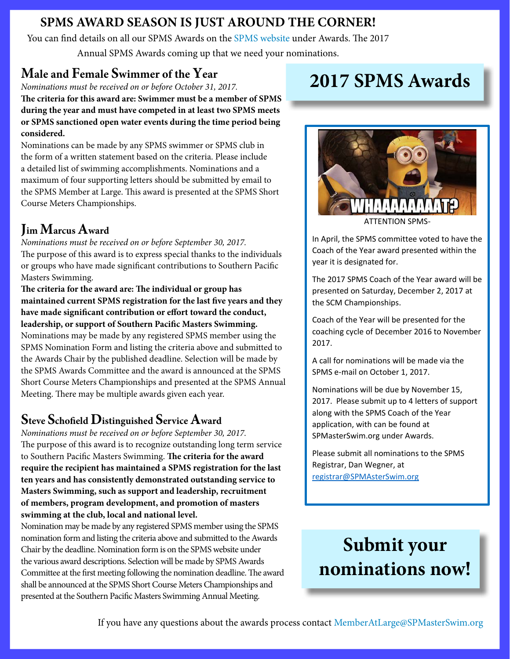## **SPMS AWARD SEASON IS JUST AROUND THE CORNER!**

You can find details on all our SPMS Awards on the [SPMS website](https://www.spmasterswim.org/awards/) under Awards. The 2017

Annual SPMS Awards coming up that we need your nominations.

## **Male and Female Swimmer of the Year**

*Nominations must be received on or before October 31, 2017.*

**The criteria for this award are: Swimmer must be a member of SPMS during the year and must have competed in at least two SPMS meets or SPMS sanctioned open water events during the time period being considered.**

Nominations can be made by any SPMS swimmer or SPMS club in the form of a written statement based on the criteria. Please include a detailed list of swimming accomplishments. Nominations and a maximum of four supporting letters should be submitted by email to the SPMS Member at Large. This award is presented at the SPMS Short Course Meters Championships.

## **Jim Marcus Award**

*Nominations must be received on or before September 30, 2017.* The purpose of this award is to express special thanks to the individuals or groups who have made significant contributions to Southern Pacific Masters Swimming.

**The criteria for the award are: The individual or group has maintained current SPMS registration for the last five years and they have made significant contribution or effort toward the conduct, leadership, or support of Southern Pacific Masters Swimming.** Nominations may be made by any registered SPMS member using the SPMS Nomination Form and listing the criteria above and submitted to the Awards Chair by the published deadline. Selection will be made by the SPMS Awards Committee and the award is announced at the SPMS Short Course Meters Championships and presented at the SPMS Annual Meeting. There may be multiple awards given each year.

## **Steve Schofield Distinguished Service Award**

*Nominations must be received on or before September 30, 2017.* The purpose of this award is to recognize outstanding long term service to Southern Pacific Masters Swimming. **The criteria for the award require the recipient has maintained a SPMS registration for the last ten years and has consistently demonstrated outstanding service to Masters Swimming, such as support and leadership, recruitment of members, program development, and promotion of masters swimming at the club, local and national level.**

Nomination may be made by any registered SPMS member using the SPMS nomination form and listing the criteria above and submitted to the Awards Chair by the deadline. Nomination form is on the SPMS website under the various award descriptions. Selection will be made by SPMS Awards Committee at the first meeting following the nomination deadline. The award shall be announced at the SPMS Short Course Meters Championships and presented at the Southern Pacific Masters Swimming Annual Meeting.

## **2017 SPMS Awards**



In April, the SPMS committee voted to have the Coach of the Year award presented within the year it is designated for.

The 2017 SPMS Coach of the Year award will be presented on Saturday, December 2, 2017 at the SCM Championships.

Coach of the Year will be presented for the coaching cycle of December 2016 to November 2017.

A call for nominations will be made via the SPMS e-mail on October 1, 2017.

Nominations will be due by November 15, 2017. Please submit up to 4 letters of support along with the SPMS Coach of the Year application, with can be found at SPMasterSwim.org under Awards.

Please submit all nominations to the SPMS Registrar, Dan Wegner, at registrar@SPMAsterSwim.org

## **Submit your nominations now!**

If you have any questions about the awards process contact [MemberAtLarge@SPMasterSwim.org](mailto:MemberAtLarge%40SPMasterSwim.org?subject=)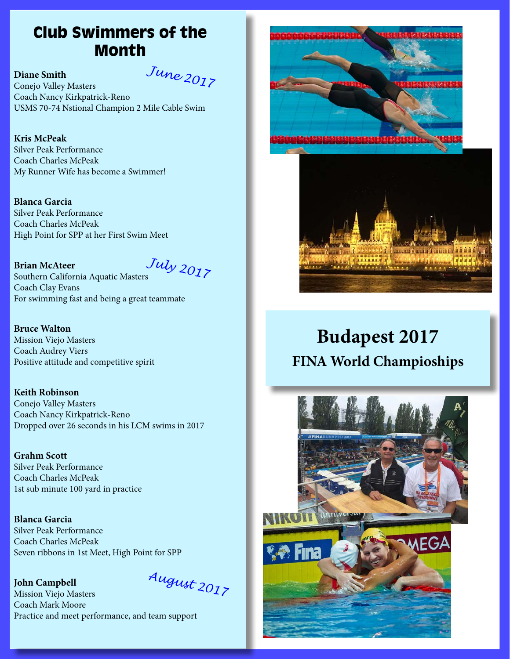## Club Swimmers of the Month

**Diane Smith** *June 2017* Conejo Valley Masters Coach Nancy Kirkpatrick-Reno USMS 70-74 Nstional Champion 2 Mile Cable Swim

**Kris McPeak** Silver Peak Performance Coach Charles McPeak My Runner Wife has become a Swimmer!

**Blanca Garcia** Silver Peak Performance Coach Charles McPeak High Point for SPP at her First Swim Meet

#### **Brian McAteer**

*July 2017*

Southern California Aquatic Masters Coach Clay Evans For swimming fast and being a great teammate

**Bruce Walton** Mission Viejo Masters Coach Audrey Viers Positive attitude and competitive spirit

**Keith Robinson** Conejo Valley Masters Coach Nancy Kirkpatrick-Reno Dropped over 26 seconds in his LCM swims in 2017

**Grahm Scott** Silver Peak Performance Coach Charles McPeak 1st sub minute 100 yard in practice

**Blanca Garcia** Silver Peak Performance Coach Charles McPeak Seven ribbons in 1st Meet, High Point for SPP

#### **John Campbell**

*August 2017*

Mission Viejo Masters Coach Mark Moore Practice and meet performance, and team support





## **Budapest 2017 FINA World Champioships**